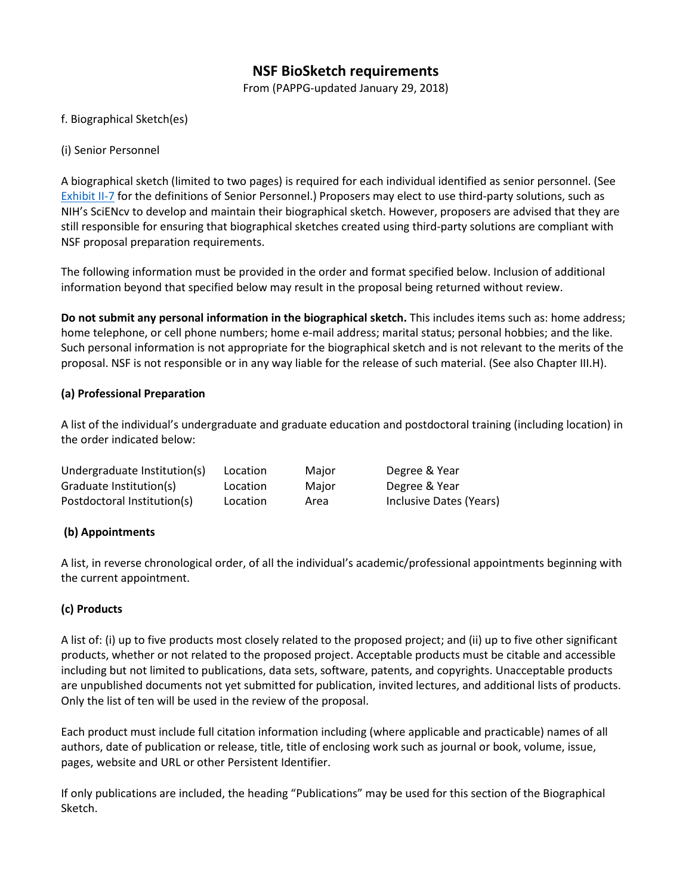# **NSF BioSketch requirements**

From (PAPPG-updated January 29, 2018)

#### f. Biographical Sketch(es)

#### (i) Senior Personnel

A biographical sketch (limited to two pages) is required for each individual identified as senior personnel. (See [Exhibit II-7](https://www.nsf.gov/pubs/policydocs/pappg18_1/pappg_2.jsp) for the definitions of Senior Personnel.) Proposers may elect to use third-party solutions, such as NIH's SciENcv to develop and maintain their biographical sketch. However, proposers are advised that they are still responsible for ensuring that biographical sketches created using third-party solutions are compliant with NSF proposal preparation requirements.

The following information must be provided in the order and format specified below. Inclusion of additional information beyond that specified below may result in the proposal being returned without review.

**Do not submit any personal information in the biographical sketch.** This includes items such as: home address; home telephone, or cell phone numbers; home e-mail address; marital status; personal hobbies; and the like. Such personal information is not appropriate for the biographical sketch and is not relevant to the merits of the proposal. NSF is not responsible or in any way liable for the release of such material. (See also Chapter III.H).

#### **(a) Professional Preparation**

A list of the individual's undergraduate and graduate education and postdoctoral training (including location) in the order indicated below:

| Undergraduate Institution(s) | Location | Major | Degree & Year           |
|------------------------------|----------|-------|-------------------------|
| Graduate Institution(s)      | Location | Major | Degree & Year           |
| Postdoctoral Institution(s)  | Location | Area  | Inclusive Dates (Years) |

#### **(b) Appointments**

A list, in reverse chronological order, of all the individual's academic/professional appointments beginning with the current appointment.

### **(c) Products**

A list of: (i) up to five products most closely related to the proposed project; and (ii) up to five other significant products, whether or not related to the proposed project. Acceptable products must be citable and accessible including but not limited to publications, data sets, software, patents, and copyrights. Unacceptable products are unpublished documents not yet submitted for publication, invited lectures, and additional lists of products. Only the list of ten will be used in the review of the proposal.

Each product must include full citation information including (where applicable and practicable) names of all authors, date of publication or release, title, title of enclosing work such as journal or book, volume, issue, pages, website and URL or other Persistent Identifier.

If only publications are included, the heading "Publications" may be used for this section of the Biographical Sketch.